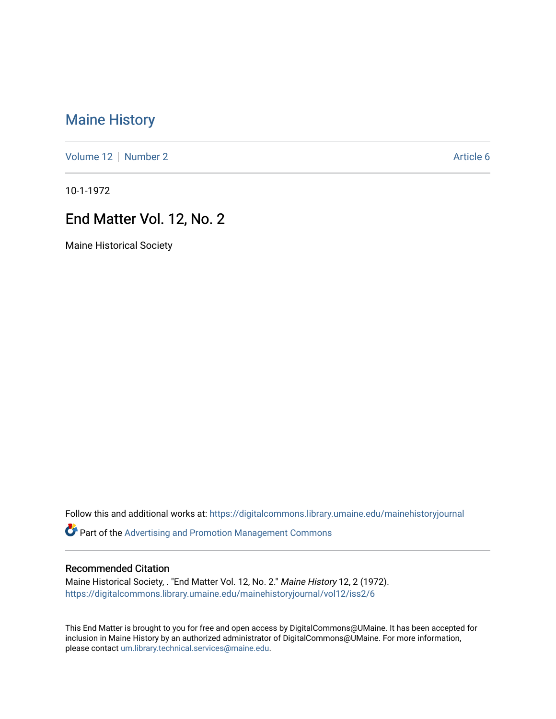# [Maine History](https://digitalcommons.library.umaine.edu/mainehistoryjournal)

[Volume 12](https://digitalcommons.library.umaine.edu/mainehistoryjournal/vol12) [Number 2](https://digitalcommons.library.umaine.edu/mainehistoryjournal/vol12/iss2) Article 6

10-1-1972

## End Matter Vol. 12, No. 2

Maine Historical Society

Follow this and additional works at: [https://digitalcommons.library.umaine.edu/mainehistoryjournal](https://digitalcommons.library.umaine.edu/mainehistoryjournal?utm_source=digitalcommons.library.umaine.edu%2Fmainehistoryjournal%2Fvol12%2Fiss2%2F6&utm_medium=PDF&utm_campaign=PDFCoverPages) 

Part of the [Advertising and Promotion Management Commons](http://network.bepress.com/hgg/discipline/626?utm_source=digitalcommons.library.umaine.edu%2Fmainehistoryjournal%2Fvol12%2Fiss2%2F6&utm_medium=PDF&utm_campaign=PDFCoverPages) 

#### Recommended Citation

Maine Historical Society, . "End Matter Vol. 12, No. 2." Maine History 12, 2 (1972). [https://digitalcommons.library.umaine.edu/mainehistoryjournal/vol12/iss2/6](https://digitalcommons.library.umaine.edu/mainehistoryjournal/vol12/iss2/6?utm_source=digitalcommons.library.umaine.edu%2Fmainehistoryjournal%2Fvol12%2Fiss2%2F6&utm_medium=PDF&utm_campaign=PDFCoverPages)

This End Matter is brought to you for free and open access by DigitalCommons@UMaine. It has been accepted for inclusion in Maine History by an authorized administrator of DigitalCommons@UMaine. For more information, please contact [um.library.technical.services@maine.edu.](mailto:um.library.technical.services@maine.edu)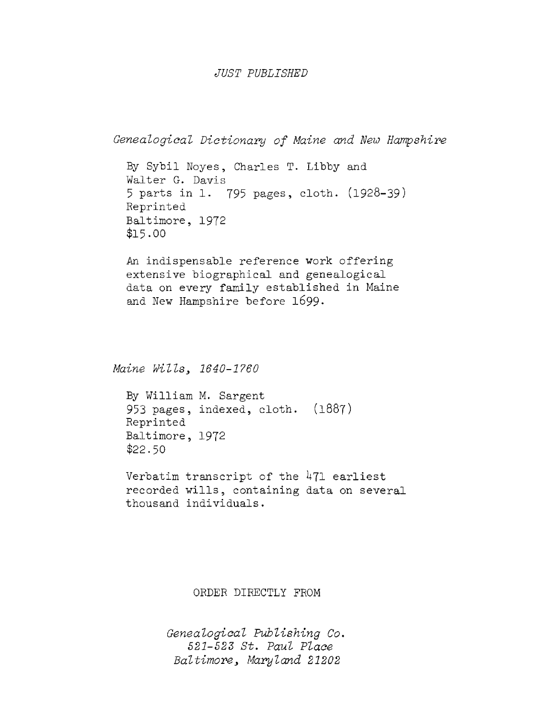#### *JUST PUBLISHED*

```
Genealogical Dictionary of Maine and Hew Hampshire
```
By Sybil Noyes, Charles T. Libby and Walter G. Davis <sup>5</sup> parts in 1. 795 pages, cloth. (1928-39) Reprinted Baltimore, 1972 \$15-00

An indispensable reference work offering extensive biographical and genealogical data on every family established in Maine and New Hampshire before 1699.

*Maine Wills. 1640-1760*

By William M. Sargent 953 pages, indexed, cloth. (1887) Reprinted Baltimore, 1972 \$22.50

Verbatim transcript of the  $471$  earliest recorded wills, containing data on several thousand individuals.

ORDER DIRECTLY FROM

*Genealogical Publishing Co. 521-52S St. Paul Place Baltimore. Maryland 21202*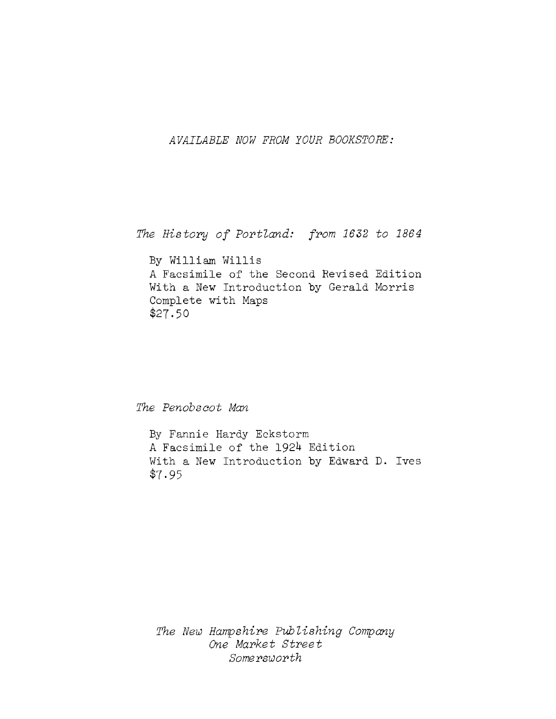*AVAILABLE NOW FROM YOUR BOOKSTORE:*

*The History of Portland: from <sup>1632</sup> to <sup>1864</sup>*

By William Willis A Facsimile of the Second Revised Edition With a New Introduction by Gerald Morris Complete with Maps \$27.50

*The Penobsoot Man*

By Fannie Hardy Eckstorm A Facsimile of the 1924 Edition With a New Introduction by Edward D. Ives \$7-95

*The New Hampshire Publishing Company One Market Street Somersworth*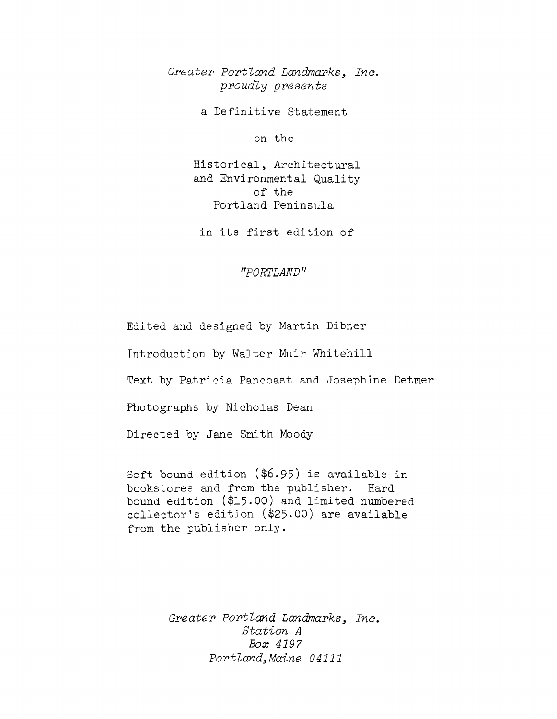*Greater Portland Landmarks^ Inc. proudly presents*

a Definitive Statement

on the

Historical, Architectural and Environmental Quality of the Portland Peninsula

in its first edition of

*"PORTLAND"*

Edited and designed by Martin Dibner

Introduction by Walter Muir Whitehill

Text by Patricia Pancoast and Josephine Detmer

Photographs by Nicholas Dean

Directed by Jane Smith Moody

Soft bound edition (\$6.95) is available in bookstores and from the publisher. Hard bound edition (\$15-00) and limited numbered collector'<sup>s</sup> edition (\$25-00) are available from the publisher only.

> *Greater Portland Landmarks Inc. Station <sup>A</sup> Box 4197 Portland^ Maine 04111*